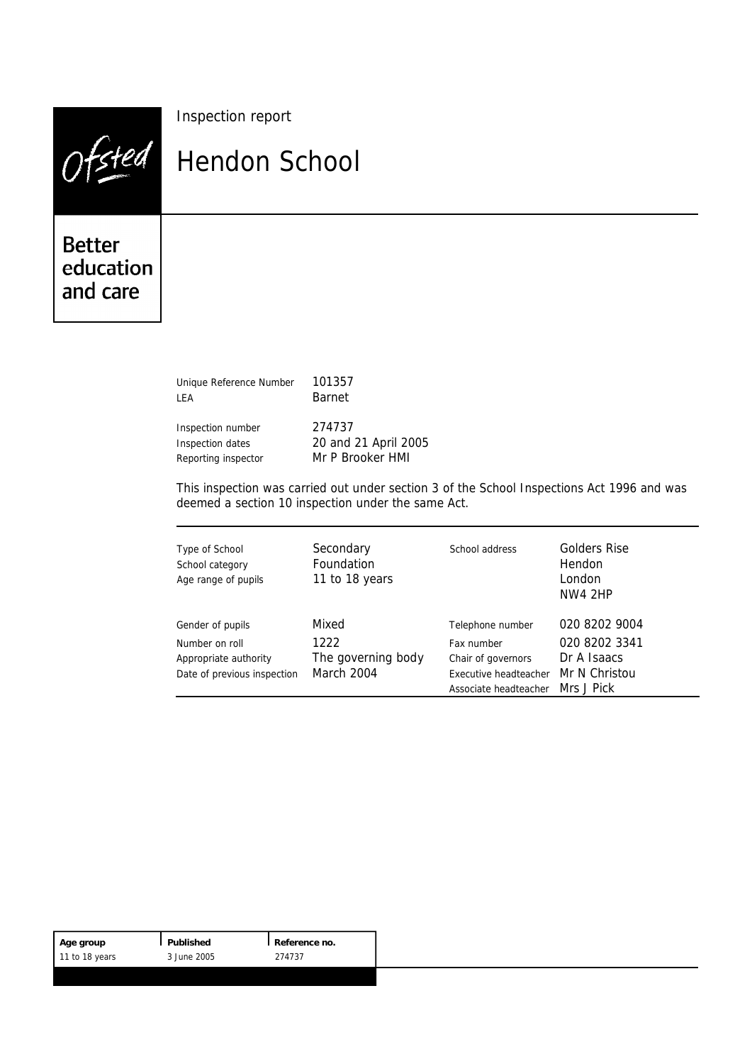|                                        | Inspection report    |
|----------------------------------------|----------------------|
| stea                                   | <b>Hendon School</b> |
| <b>Better</b><br>education<br>and care |                      |

| Unique Reference Number | 101357               |
|-------------------------|----------------------|
| LEA                     | <b>Barnet</b>        |
| Inspection number       | 274737               |
| Inspection dates        | 20 and 21 April 2005 |
| Reporting inspector     | Mr P Brooker HMI     |

This inspection was carried out under section 3 of the School Inspections Act 1996 and was deemed a section 10 inspection under the same Act.

| Type of School<br>School category<br>Age range of pupils | Secondary<br>Foundation<br>11 to 18 years | School address        | Golders Rise<br>Hendon<br>London<br>NW4 2HP |
|----------------------------------------------------------|-------------------------------------------|-----------------------|---------------------------------------------|
| Gender of pupils                                         | Mixed                                     | Telephone number      | 020 8202 9004                               |
| Number on roll                                           | 1222                                      | Fax number            | 020 8202 3341                               |
| Appropriate authority                                    | The governing body                        | Chair of governors    | Dr A Isaacs                                 |
| Date of previous inspection                              | March 2004                                | Executive headteacher | Mr N Christou                               |
|                                                          |                                           | Associate headteacher | Mrs J Pick                                  |

| Age group      | Published   | Reference no. |
|----------------|-------------|---------------|
| 11 to 18 years | 3 June 2005 | 274737        |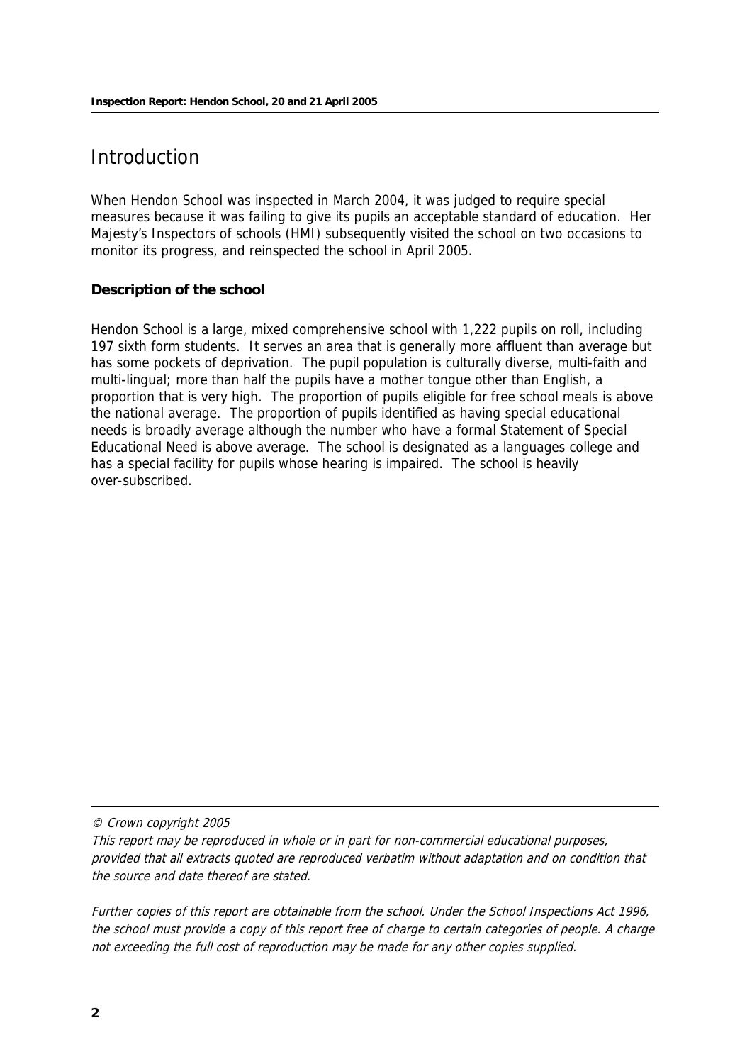# **Introduction**

When Hendon School was inspected in March 2004, it was judged to require special measures because it was failing to give its pupils an acceptable standard of education. Her Majesty's Inspectors of schools (HMI) subsequently visited the school on two occasions to monitor its progress, and reinspected the school in April 2005.

### **Description of the school**

Hendon School is a large, mixed comprehensive school with 1,222 pupils on roll, including 197 sixth form students. It serves an area that is generally more affluent than average but has some pockets of deprivation. The pupil population is culturally diverse, multi-faith and multi-lingual; more than half the pupils have a mother tongue other than English, a proportion that is very high. The proportion of pupils eligible for free school meals is above the national average. The proportion of pupils identified as having special educational needs is broadly average although the number who have a formal Statement of Special Educational Need is above average. The school is designated as a languages college and has a special facility for pupils whose hearing is impaired. The school is heavily over-subscribed.

© Crown copyright 2005

This report may be reproduced in whole or in part for non-commercial educational purposes, provided that all extracts quoted are reproduced verbatim without adaptation and on condition that the source and date thereof are stated.

Further copies of this report are obtainable from the school. Under the School Inspections Act 1996, the school must provide a copy of this report free of charge to certain categories of people. A charge not exceeding the full cost of reproduction may be made for any other copies supplied.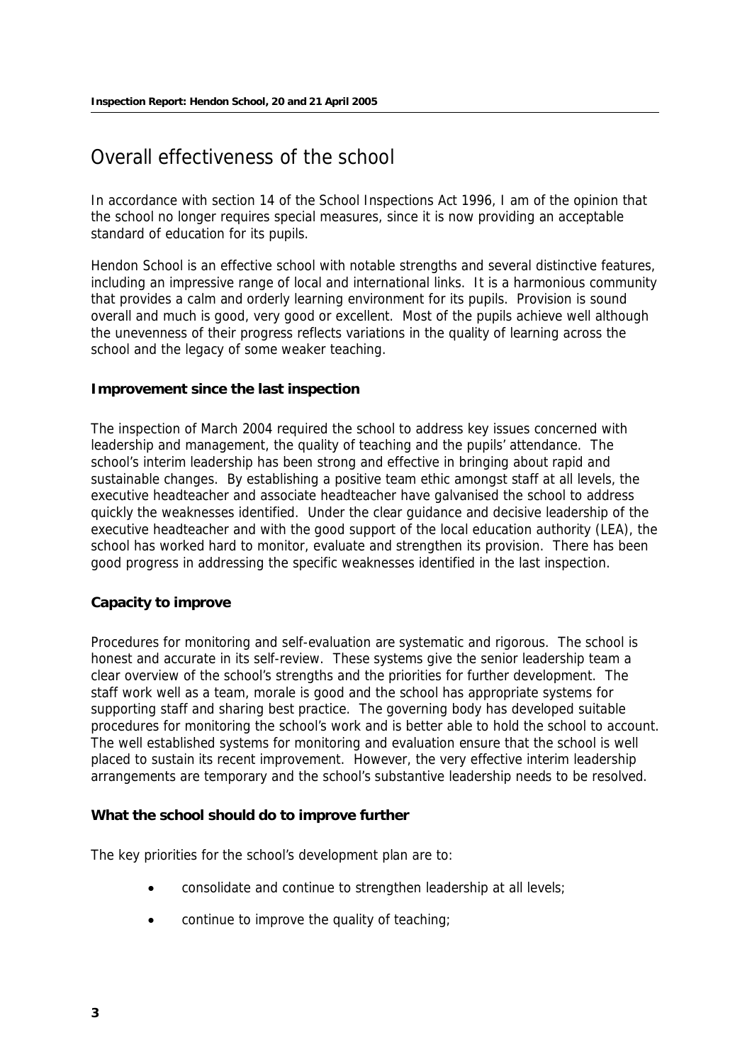# Overall effectiveness of the school

In accordance with section 14 of the School Inspections Act 1996, I am of the opinion that the school no longer requires special measures, since it is now providing an acceptable standard of education for its pupils.

Hendon School is an effective school with notable strengths and several distinctive features, including an impressive range of local and international links. It is a harmonious community that provides a calm and orderly learning environment for its pupils. Provision is sound overall and much is good, very good or excellent. Most of the pupils achieve well although the unevenness of their progress reflects variations in the quality of learning across the school and the legacy of some weaker teaching.

### **Improvement since the last inspection**

The inspection of March 2004 required the school to address key issues concerned with leadership and management, the quality of teaching and the pupils' attendance. The school's interim leadership has been strong and effective in bringing about rapid and sustainable changes. By establishing a positive team ethic amongst staff at all levels, the executive headteacher and associate headteacher have galvanised the school to address quickly the weaknesses identified. Under the clear guidance and decisive leadership of the executive headteacher and with the good support of the local education authority (LEA), the school has worked hard to monitor, evaluate and strengthen its provision. There has been good progress in addressing the specific weaknesses identified in the last inspection.

### **Capacity to improve**

Procedures for monitoring and self-evaluation are systematic and rigorous. The school is honest and accurate in its self-review. These systems give the senior leadership team a clear overview of the school's strengths and the priorities for further development. The staff work well as a team, morale is good and the school has appropriate systems for supporting staff and sharing best practice. The governing body has developed suitable procedures for monitoring the school's work and is better able to hold the school to account. The well established systems for monitoring and evaluation ensure that the school is well placed to sustain its recent improvement. However, the very effective interim leadership arrangements are temporary and the school's substantive leadership needs to be resolved.

### **What the school should do to improve further**

The key priorities for the school's development plan are to:

- consolidate and continue to strengthen leadership at all levels;
- continue to improve the quality of teaching;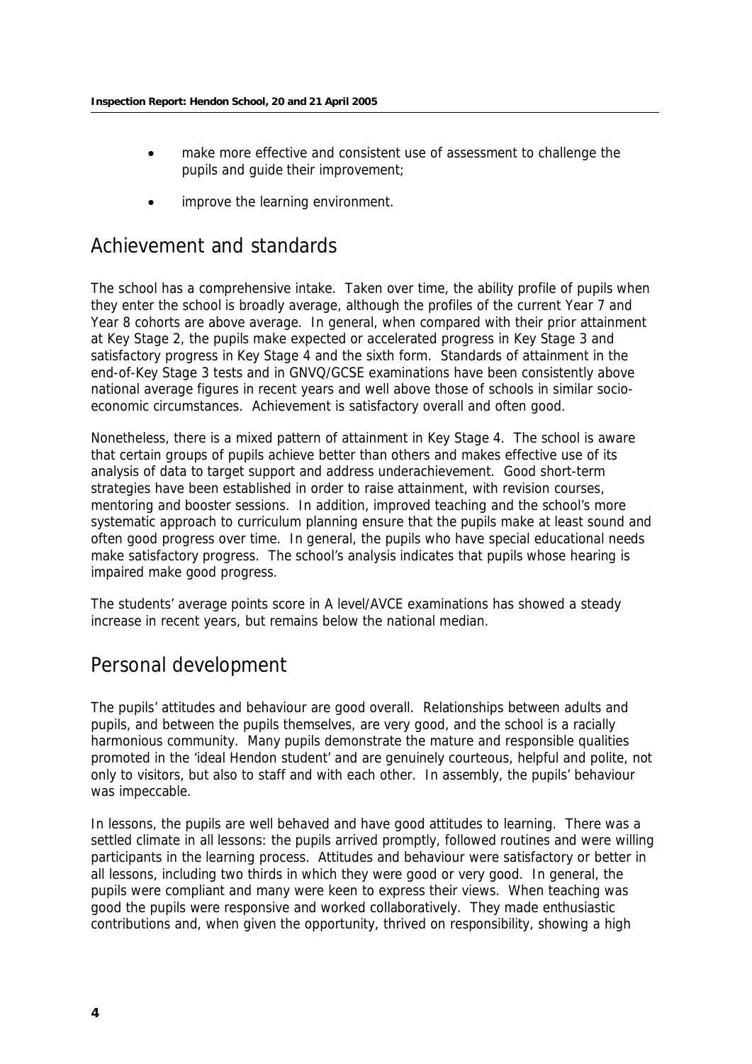- make more effective and consistent use of assessment to challenge the pupils and guide their improvement;
- improve the learning environment.

### Achievement and standards

The school has a comprehensive intake. Taken over time, the ability profile of pupils when they enter the school is broadly average, although the profiles of the current Year 7 and Year 8 cohorts are above average. In general, when compared with their prior attainment at Key Stage 2, the pupils make expected or accelerated progress in Key Stage 3 and satisfactory progress in Key Stage 4 and the sixth form. Standards of attainment in the end-of-Key Stage 3 tests and in GNVQ/GCSE examinations have been consistently above national average figures in recent years and well above those of schools in similar socioeconomic circumstances. Achievement is satisfactory overall and often good.

Nonetheless, there is a mixed pattern of attainment in Key Stage 4. The school is aware that certain groups of pupils achieve better than others and makes effective use of its analysis of data to target support and address underachievement. Good short-term strategies have been established in order to raise attainment, with revision courses, mentoring and booster sessions. In addition, improved teaching and the school's more systematic approach to curriculum planning ensure that the pupils make at least sound and often good progress over time. In general, the pupils who have special educational needs make satisfactory progress. The school's analysis indicates that pupils whose hearing is impaired make good progress.

The students' average points score in A level/AVCE examinations has showed a steady increase in recent years, but remains below the national median.

# Personal development

The pupils' attitudes and behaviour are good overall. Relationships between adults and pupils, and between the pupils themselves, are very good, and the school is a racially harmonious community. Many pupils demonstrate the mature and responsible qualities promoted in the 'ideal Hendon student' and are genuinely courteous, helpful and polite, not only to visitors, but also to staff and with each other. In assembly, the pupils' behaviour was impeccable.

In lessons, the pupils are well behaved and have good attitudes to learning. There was a settled climate in all lessons: the pupils arrived promptly, followed routines and were willing participants in the learning process. Attitudes and behaviour were satisfactory or better in all lessons, including two thirds in which they were good or very good. In general, the pupils were compliant and many were keen to express their views. When teaching was good the pupils were responsive and worked collaboratively. They made enthusiastic contributions and, when given the opportunity, thrived on responsibility, showing a high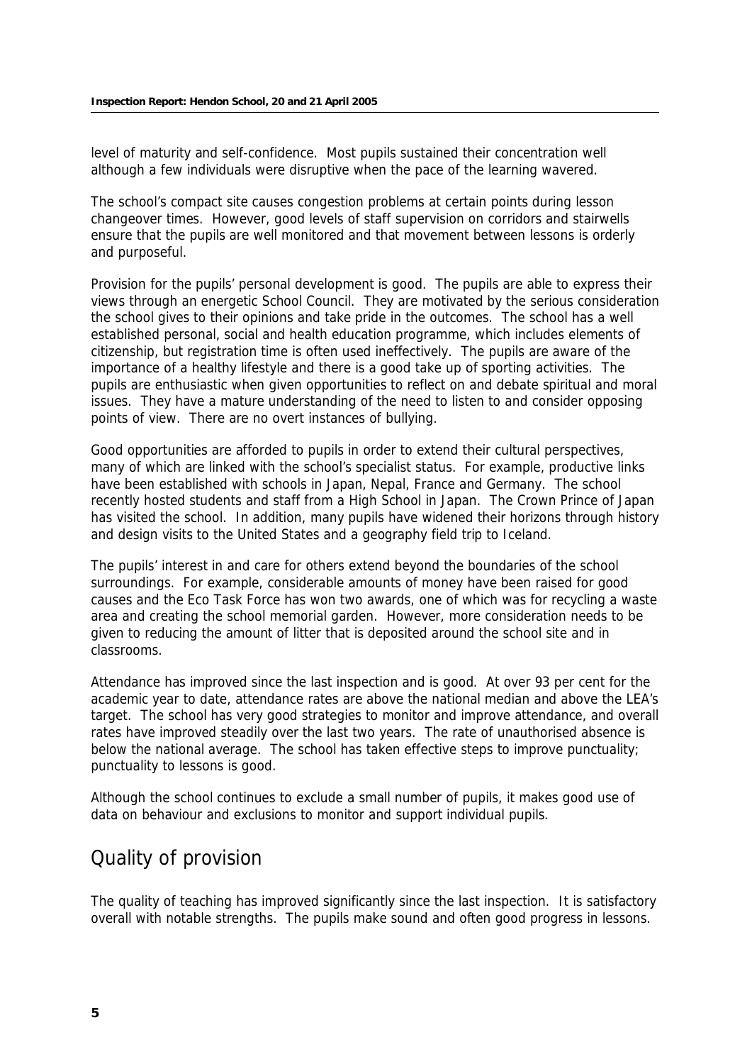level of maturity and self-confidence. Most pupils sustained their concentration well although a few individuals were disruptive when the pace of the learning wavered.

The school's compact site causes congestion problems at certain points during lesson changeover times. However, good levels of staff supervision on corridors and stairwells ensure that the pupils are well monitored and that movement between lessons is orderly and purposeful.

Provision for the pupils' personal development is good. The pupils are able to express their views through an energetic School Council. They are motivated by the serious consideration the school gives to their opinions and take pride in the outcomes. The school has a well established personal, social and health education programme, which includes elements of citizenship, but registration time is often used ineffectively. The pupils are aware of the importance of a healthy lifestyle and there is a good take up of sporting activities. The pupils are enthusiastic when given opportunities to reflect on and debate spiritual and moral issues. They have a mature understanding of the need to listen to and consider opposing points of view. There are no overt instances of bullying.

Good opportunities are afforded to pupils in order to extend their cultural perspectives, many of which are linked with the school's specialist status. For example, productive links have been established with schools in Japan, Nepal, France and Germany. The school recently hosted students and staff from a High School in Japan. The Crown Prince of Japan has visited the school. In addition, many pupils have widened their horizons through history and design visits to the United States and a geography field trip to Iceland.

The pupils' interest in and care for others extend beyond the boundaries of the school surroundings. For example, considerable amounts of money have been raised for good causes and the Eco Task Force has won two awards, one of which was for recycling a waste area and creating the school memorial garden. However, more consideration needs to be given to reducing the amount of litter that is deposited around the school site and in classrooms.

Attendance has improved since the last inspection and is good. At over 93 per cent for the academic year to date, attendance rates are above the national median and above the LEA's target. The school has very good strategies to monitor and improve attendance, and overall rates have improved steadily over the last two years. The rate of unauthorised absence is below the national average. The school has taken effective steps to improve punctuality; punctuality to lessons is good.

Although the school continues to exclude a small number of pupils, it makes good use of data on behaviour and exclusions to monitor and support individual pupils.

# Quality of provision

The quality of teaching has improved significantly since the last inspection. It is satisfactory overall with notable strengths. The pupils make sound and often good progress in lessons.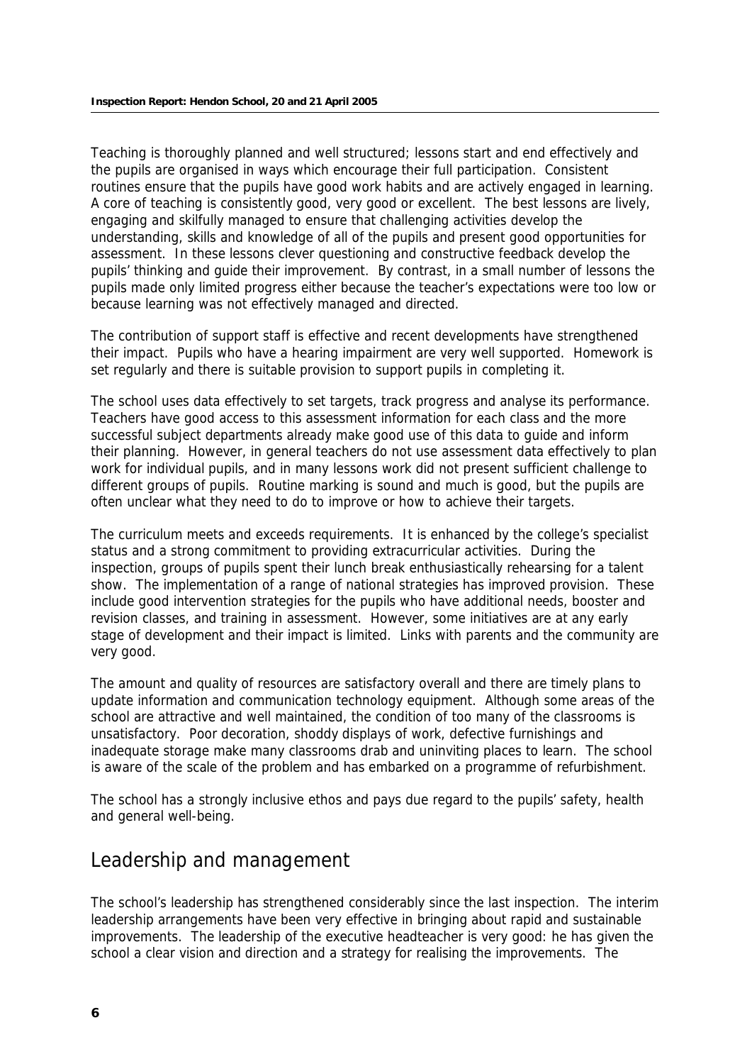Teaching is thoroughly planned and well structured; lessons start and end effectively and the pupils are organised in ways which encourage their full participation. Consistent routines ensure that the pupils have good work habits and are actively engaged in learning. A core of teaching is consistently good, very good or excellent. The best lessons are lively, engaging and skilfully managed to ensure that challenging activities develop the understanding, skills and knowledge of all of the pupils and present good opportunities for assessment. In these lessons clever questioning and constructive feedback develop the pupils' thinking and guide their improvement. By contrast, in a small number of lessons the pupils made only limited progress either because the teacher's expectations were too low or because learning was not effectively managed and directed.

The contribution of support staff is effective and recent developments have strengthened their impact. Pupils who have a hearing impairment are very well supported. Homework is set regularly and there is suitable provision to support pupils in completing it.

The school uses data effectively to set targets, track progress and analyse its performance. Teachers have good access to this assessment information for each class and the more successful subject departments already make good use of this data to guide and inform their planning. However, in general teachers do not use assessment data effectively to plan work for individual pupils, and in many lessons work did not present sufficient challenge to different groups of pupils. Routine marking is sound and much is good, but the pupils are often unclear what they need to do to improve or how to achieve their targets.

The curriculum meets and exceeds requirements. It is enhanced by the college's specialist status and a strong commitment to providing extracurricular activities. During the inspection, groups of pupils spent their lunch break enthusiastically rehearsing for a talent show. The implementation of a range of national strategies has improved provision. These include good intervention strategies for the pupils who have additional needs, booster and revision classes, and training in assessment. However, some initiatives are at any early stage of development and their impact is limited. Links with parents and the community are very good.

The amount and quality of resources are satisfactory overall and there are timely plans to update information and communication technology equipment. Although some areas of the school are attractive and well maintained, the condition of too many of the classrooms is unsatisfactory. Poor decoration, shoddy displays of work, defective furnishings and inadequate storage make many classrooms drab and uninviting places to learn. The school is aware of the scale of the problem and has embarked on a programme of refurbishment.

The school has a strongly inclusive ethos and pays due regard to the pupils' safety, health and general well-being.

# Leadership and management

The school's leadership has strengthened considerably since the last inspection. The interim leadership arrangements have been very effective in bringing about rapid and sustainable improvements. The leadership of the executive headteacher is very good: he has given the school a clear vision and direction and a strategy for realising the improvements. The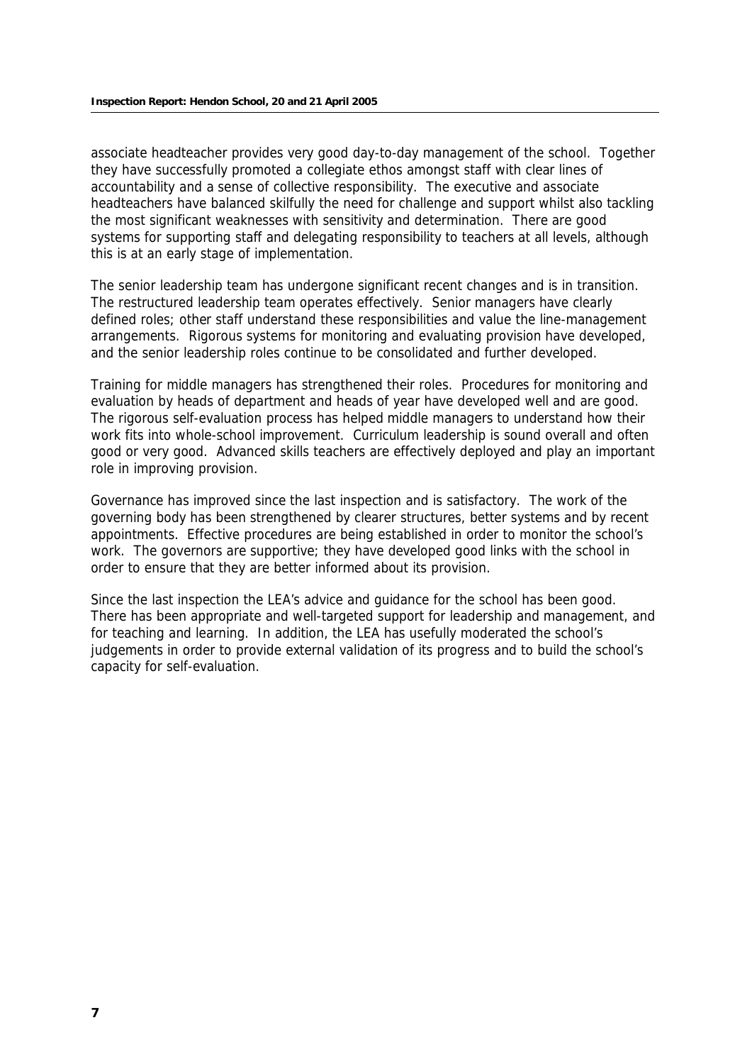associate headteacher provides very good day-to-day management of the school. Together they have successfully promoted a collegiate ethos amongst staff with clear lines of accountability and a sense of collective responsibility. The executive and associate headteachers have balanced skilfully the need for challenge and support whilst also tackling the most significant weaknesses with sensitivity and determination. There are good systems for supporting staff and delegating responsibility to teachers at all levels, although this is at an early stage of implementation.

The senior leadership team has undergone significant recent changes and is in transition. The restructured leadership team operates effectively. Senior managers have clearly defined roles; other staff understand these responsibilities and value the line-management arrangements. Rigorous systems for monitoring and evaluating provision have developed, and the senior leadership roles continue to be consolidated and further developed.

Training for middle managers has strengthened their roles. Procedures for monitoring and evaluation by heads of department and heads of year have developed well and are good. The rigorous self-evaluation process has helped middle managers to understand how their work fits into whole-school improvement. Curriculum leadership is sound overall and often good or very good. Advanced skills teachers are effectively deployed and play an important role in improving provision.

Governance has improved since the last inspection and is satisfactory. The work of the governing body has been strengthened by clearer structures, better systems and by recent appointments. Effective procedures are being established in order to monitor the school's work. The governors are supportive; they have developed good links with the school in order to ensure that they are better informed about its provision.

Since the last inspection the LEA's advice and guidance for the school has been good. There has been appropriate and well-targeted support for leadership and management, and for teaching and learning. In addition, the LEA has usefully moderated the school's judgements in order to provide external validation of its progress and to build the school's capacity for self-evaluation.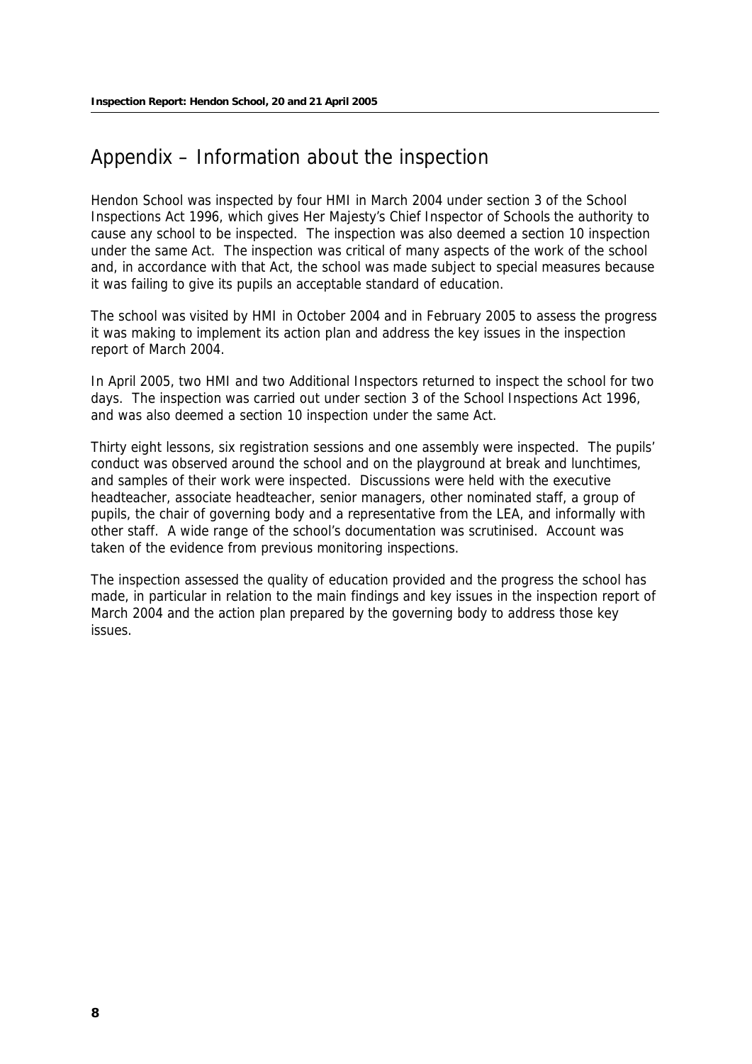# Appendix – Information about the inspection

Hendon School was inspected by four HMI in March 2004 under section 3 of the School Inspections Act 1996, which gives Her Majesty's Chief Inspector of Schools the authority to cause any school to be inspected. The inspection was also deemed a section 10 inspection under the same Act. The inspection was critical of many aspects of the work of the school and, in accordance with that Act, the school was made subject to special measures because it was failing to give its pupils an acceptable standard of education.

The school was visited by HMI in October 2004 and in February 2005 to assess the progress it was making to implement its action plan and address the key issues in the inspection report of March 2004.

In April 2005, two HMI and two Additional Inspectors returned to inspect the school for two days. The inspection was carried out under section 3 of the School Inspections Act 1996, and was also deemed a section 10 inspection under the same Act.

Thirty eight lessons, six registration sessions and one assembly were inspected. The pupils' conduct was observed around the school and on the playground at break and lunchtimes, and samples of their work were inspected. Discussions were held with the executive headteacher, associate headteacher, senior managers, other nominated staff, a group of pupils, the chair of governing body and a representative from the LEA, and informally with other staff. A wide range of the school's documentation was scrutinised. Account was taken of the evidence from previous monitoring inspections.

The inspection assessed the quality of education provided and the progress the school has made, in particular in relation to the main findings and key issues in the inspection report of March 2004 and the action plan prepared by the governing body to address those key issues.